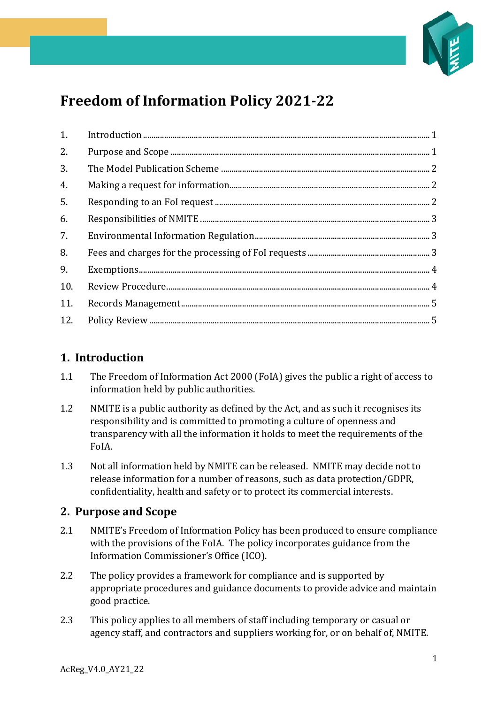

# **Freedom of Information Policy 2021-22**

| 2.  |  |
|-----|--|
| 3.  |  |
| 4.  |  |
| 5.  |  |
| 6.  |  |
| 7.  |  |
| 8.  |  |
| 9.  |  |
| 10. |  |
| 11. |  |
| 12. |  |

# <span id="page-0-0"></span>**1. Introduction**

- 1.1 The Freedom of Information Act 2000 (FoIA) gives the public a right of access to information held by public authorities.
- 1.2 NMITE is a public authority as defined by the Act, and as such it recognises its responsibility and is committed to promoting a culture of openness and transparency with all the information it holds to meet the requirements of the FoIA.
- 1.3 Not all information held by NMITE can be released. NMITE may decide not to release information for a number of reasons, such as data protection/GDPR, confidentiality, health and safety or to protect its commercial interests.

## <span id="page-0-1"></span>**2. Purpose and Scope**

- 2.1 NMITE's Freedom of Information Policy has been produced to ensure compliance with the provisions of the FoIA. The policy incorporates guidance from the Information Commissioner's Office (ICO).
- 2.2 The policy provides a framework for compliance and is supported by appropriate procedures and guidance documents to provide advice and maintain good practice.
- 2.3 This policy applies to all members of staff including temporary or casual or agency staff, and contractors and suppliers working for, or on behalf of, NMITE.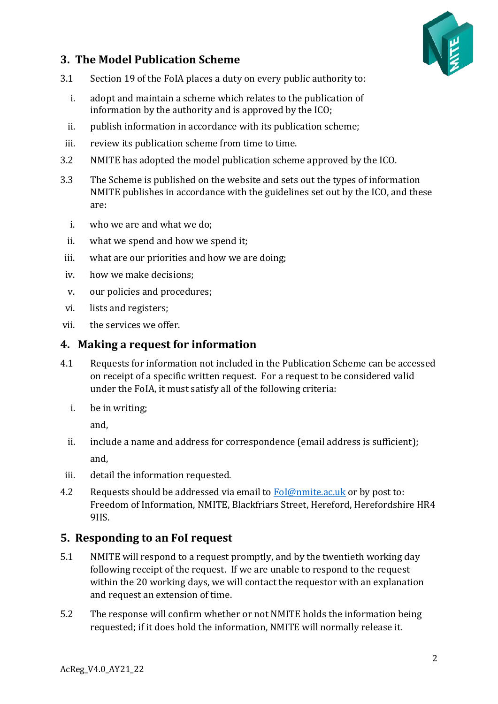

# <span id="page-1-0"></span>**3. The Model Publication Scheme**

- 3.1 Section 19 of the FoIA places a duty on every public authority to:
	- i. adopt and maintain a scheme which relates to the publication of information by the authority and is approved by the ICO;
	- ii. publish information in accordance with its publication scheme;
- iii. review its publication scheme from time to time.
- 3.2 NMITE has adopted the model publication scheme approved by the ICO.
- 3.3 The Scheme is published on the website and sets out the types of information NMITE publishes in accordance with the guidelines set out by the ICO, and these are:
	- i. who we are and what we do;
	- ii. what we spend and how we spend it;
- iii. what are our priorities and how we are doing;
- iv. how we make decisions;
- v. our policies and procedures;
- vi. lists and registers;
- vii. the services we offer.

#### <span id="page-1-1"></span>**4. Making a request for information**

- 4.1 Requests for information not included in the Publication Scheme can be accessed on receipt of a specific written request. For a request to be considered valid under the FoIA, it must satisfy all of the following criteria:
	- i. be in writing;

and,

- ii. include a name and address for correspondence (email address is sufficient); and,
- iii. detail the information requested.
- 4.2 Requests should be addressed via email to  $F_0I@nmite$ . ac.uk or by post to: Freedom of Information, NMITE, Blackfriars Street, Hereford, Herefordshire HR4 9HS.

## <span id="page-1-2"></span>**5. Responding to an FoI request**

- 5.1 NMITE will respond to a request promptly, and by the twentieth working day following receipt of the request. If we are unable to respond to the request within the 20 working days, we will contact the requestor with an explanation and request an extension of time.
- 5.2 The response will confirm whether or not NMITE holds the information being requested; if it does hold the information, NMITE will normally release it.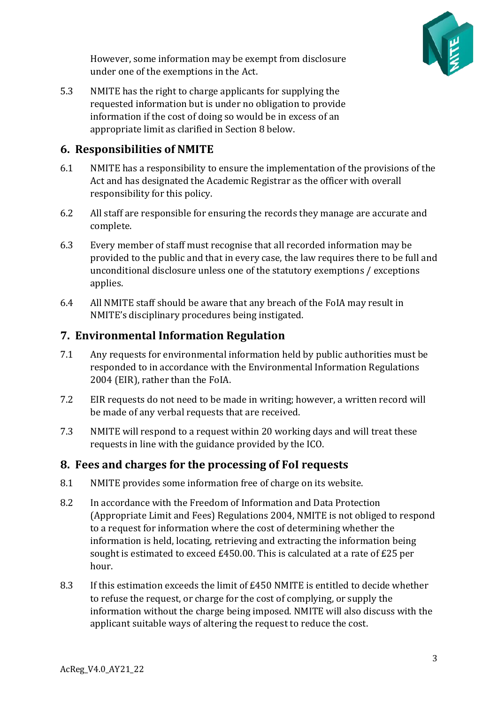

However, some information may be exempt from disclosure under one of the exemptions in the Act.

5.3 NMITE has the right to charge applicants for supplying the requested information but is under no obligation to provide information if the cost of doing so would be in excess of an appropriate limit as clarified in Section 8 below.

#### <span id="page-2-0"></span>**6. Responsibilities of NMITE**

- 6.1 NMITE has a responsibility to ensure the implementation of the provisions of the Act and has designated the Academic Registrar as the officer with overall responsibility for this policy.
- 6.2 All staff are responsible for ensuring the records they manage are accurate and complete.
- 6.3 Every member of staff must recognise that all recorded information may be provided to the public and that in every case, the law requires there to be full and unconditional disclosure unless one of the statutory exemptions / exceptions applies.
- 6.4 All NMITE staff should be aware that any breach of the FoIA may result in NMITE's disciplinary procedures being instigated.

## <span id="page-2-1"></span>**7. Environmental Information Regulation**

- 7.1 Any requests for environmental information held by public authorities must be responded to in accordance with the Environmental Information Regulations 2004 (EIR), rather than the FoIA.
- 7.2 EIR requests do not need to be made in writing; however, a written record will be made of any verbal requests that are received.
- 7.3 NMITE will respond to a request within 20 working days and will treat these requests in line with the guidance provided by the ICO.

## <span id="page-2-2"></span>**8. Fees and charges for the processing of FoI requests**

- 8.1 NMITE provides some information free of charge on its website.
- 8.2 In accordance with the Freedom of Information and Data Protection (Appropriate Limit and Fees) Regulations 2004, NMITE is not obliged to respond to a request for information where the cost of determining whether the information is held, locating, retrieving and extracting the information being sought is estimated to exceed £450.00. This is calculated at a rate of £25 per hour.
- 8.3 If this estimation exceeds the limit of £450 NMITE is entitled to decide whether to refuse the request, or charge for the cost of complying, or supply the information without the charge being imposed. NMITE will also discuss with the applicant suitable ways of altering the request to reduce the cost.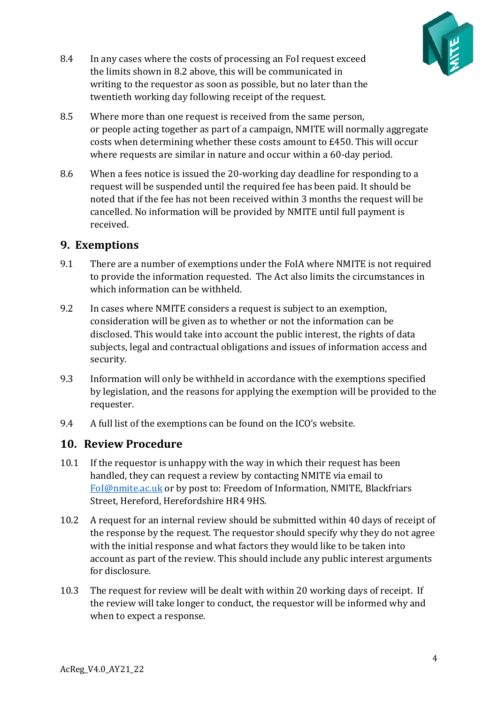

- 8.4 In any cases where the costs of processing an FoI request exceed the limits shown in 8.2 above, this will be communicated in writing to the requestor as soon as possible, but no later than the twentieth working day following receipt of the request.
- 8.5 Where more than one request is received from the same person, or people acting together as part of a campaign, NMITE will normally aggregate costs when determining whether these costs amount to £450. This will occur where requests are similar in nature and occur within a 60-day period.
- 8.6 When a fees notice is issued the 20-working day deadline for responding to a request will be suspended until the required fee has been paid. It should be noted that if the fee has not been received within 3 months the request will be cancelled. No information will be provided by NMITE until full payment is received.

#### <span id="page-3-0"></span>**9. Exemptions**

- 9.1 There are a number of exemptions under the FoIA where NMITE is not required to provide the information requested. The Act also limits the circumstances in which information can be withheld.
- 9.2 In cases where NMITE considers a request is subject to an exemption, consideration will be given as to whether or not the information can be disclosed. This would take into account the public interest, the rights of data subjects, legal and contractual obligations and issues of information access and security.
- 9.3 Information will only be withheld in accordance with the exemptions specified by legislation, and the reasons for applying the exemption will be provided to the requester.
- 9.4 A full list of the exemptions can be found on the ICO's website.

#### <span id="page-3-1"></span>**10. Review Procedure**

- 10.1 If the requestor is unhappy with the way in which their request has been handled, they can request a review by contacting NMITE via email to [FoI@nmite.ac.uk](mailto:FoI@nmite.ac.uk) or by post to: Freedom of Information, NMITE, Blackfriars Street, Hereford, Herefordshire HR4 9HS.
- 10.2 A request for an internal review should be submitted within 40 days of receipt of the response by the request. The requestor should specify why they do not agree with the initial response and what factors they would like to be taken into account as part of the review. This should include any public interest arguments for disclosure.
- 10.3 The request for review will be dealt with within 20 working days of receipt. If the review will take longer to conduct, the requestor will be informed why and when to expect a response.